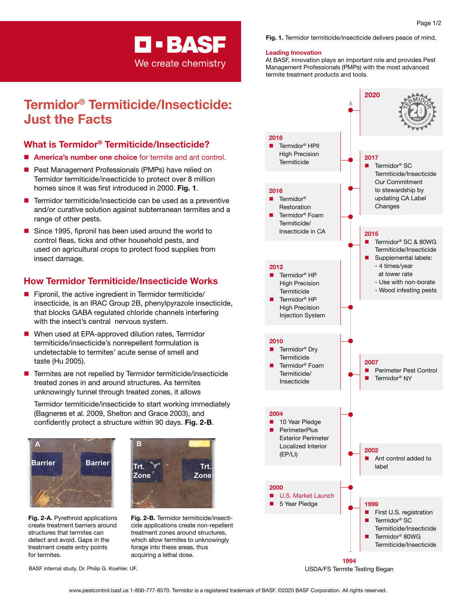# **D-BASF**

We create chemistry

# Termidor® Termiticide/Insecticide: Just the Facts

# What is Termidor® Termiticide/Insecticide?

- **n** America's number one choice for termite and ant control.
- $\blacksquare$  Pest Management Professionals (PMPs) have relied on Termidor termiticide/insecticide to protect over 8 million homes since it was first introduced in 2000. Fig. 1.
- Termidor termiticide/insecticide can be used as a preventive and/or curative solution against subterranean termites and a range of other pests.
- $\blacksquare$  Since 1995, fipronil has been used around the world to control fleas, ticks and other household pests, and used on agricultural crops to protect food supplies from insect damage.

# How Termidor Termiticide/Insecticide Works

- $\blacksquare$  Fipronil, the active ingredient in Termidor termiticide/ insecticide, is an IRAC Group 2B, phenylpyrazole insecticide, that blocks GABA regulated chloride channels interfering with the insect's central nervous system.
- When used at EPA-approved dilution rates, Termidor termiticide/insecticide's nonrepellent formulation is undetectable to termites' acute sense of smell and taste (Hu 2005).
- Termites are not repelled by Termidor termiticide/insecticide treated zones in and around structures. As termites **Barrier Barrier** unknowingly tunnel through treated zones, it allows

Termidor termiticide/insecticide to start working immediately (Bagneres et al. 2009, Shelton and Grace 2003), and confidently protect a structure within 90 days. Fig. 2-B.



Fig. 2-A. Pyrethroid applications create treatment barriers around **B** structures that termites can detect and avoid. Gaps in the



Fig. 2-B. Termidor termiticide/insecticide applications create non-repellent treatment zones around structures, which allow termites to unknowingly forage into these areas, thus acquiring a lethal dose.

BASF internal study. Dr. Philip G. Koehler. UF.

**treatment create entry points** 

for termites.



#### Leading Innovation

At BASF, innovation plays an important role and provides Pest Management Professionals (PMPs) with the most advanced termite treatment products and tools.



USDA/FS Termite Testing Began